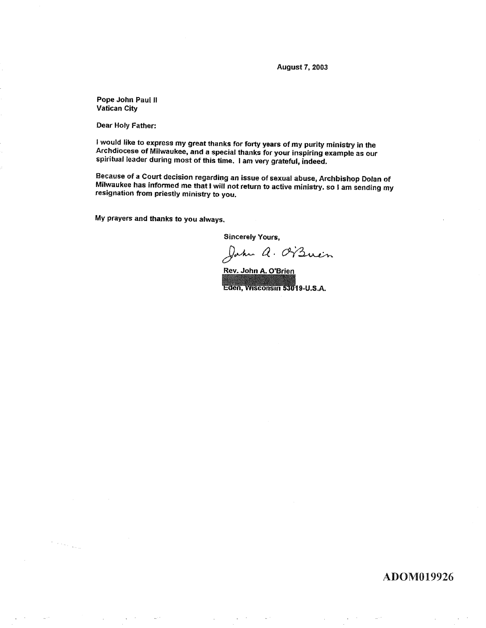**August 7, 2003** 

Pope John Paul II Vatican City

Dear Holy Father:

 $\left\langle \cdot \right\rangle_{\mathcal{F}_{\text{c}}\left(\mathcal{F}_{\text{c}}\right)}$  ,  $\left\langle \cdot \right\rangle_{\mathcal{F}_{\text{c}}\left(\mathcal{F}_{\text{c}}\right)}$ 

I would like to express my great thanks for forty years of my purity ministry in the Archdiocese of Milwaukee, and a special thanks for your inspiring example as our spiritual leader during most of this time. I am very grateful, indeed.

Because of a Court decision regarding an issue of sexual abuse, Archbishop Dolan of Milwaukee has informed me that I will not return to active ministry, so I am sending my resignation from priestly ministry to you.

My prayers and thanks to you always.

**Sincerely Yours,** 

Jahr a. Orzuen

Rev. John A. O'Brien Eden, Wisconsin 53019-U.S.A.

ADOM019926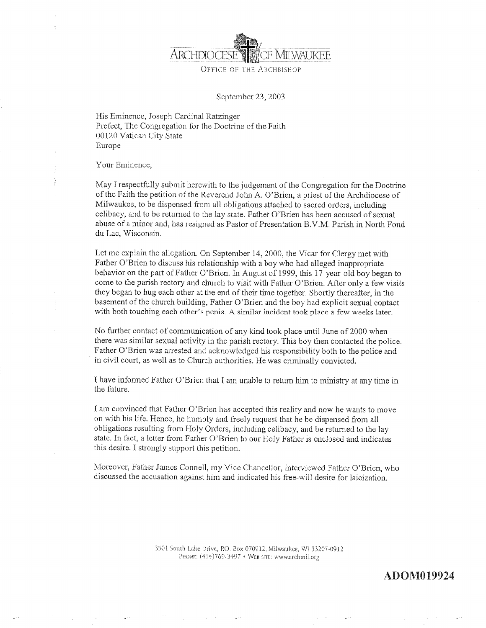

OFFICE OF THE ARCHBISHOP

September 23, 2003

His Eminence, Joseph Cardinal Ratzinger Prefect, The Congregation for the Doctrine of the Faith 00120 Vatican City State Europe

Your Eminence,

May I respectfully submit herewith to the judgement of the Congregation for the Doctrine of the Faith the petition of the Reverend John A. O'Brien, a priest of the Archdiocese of Milwaukee, to be dispensed from all obligations attached to sacred orders, including celibacy, and to be returned to the lay state. Father O'Brien has been accused of sexual abuse of a minor and, has resigned as Pastor of Presentation B.V.M. Parish in North Fond du Lac, Wisconsin.

Let me explain the allegation. On September 14, 2000, the Vicar for Clergy met with Father O'Brien to discuss his relationship with a boy who had alleged inappropriate behavior on the part of Father O'Brien. In August of 1999, this 17-year-old boy began to come to the parish rectory and church to visit with Father O'Brien. After only a few visits they began to hug each other at the end of their time together. Shortly thereafter, in the basement of the church building, Father O'Brien and the boy had explicit sexual contact with both touching each other's penis. A similar incident took place a few weeks later.

No further contact of communication of any kind took place until June of 2000 when there was similar sexual activity in the parish rectory. This boy then contacted the police. Father O'Brien was arrested and acknowledged his responsibility both to the police and in civil court, as well as to Church authorities. He was criminally convicted.

I have informed Father O'Brien that I am unable to return him to ministry at any time in the future.

I am convinced that Father O'Brien has accepted this reality and now he wants to move on with his life. Hence, he humbly and freely request that he be dispensed from all obligations resulting from Holy Orders, including celibacy, and be returned to the lay state. In fact, a letter from Father O'Brien to our Holy Father is enclosed and indicates this desire. I strongly support this petition.

Moreover, Father James Connell, my Vice Chancellor, interviewed Father O'Brien, who discussed the accusation against him and indicated his free-will desire for laicization.

> 3501 South Lake Drive, P.O. Box 070912, Milwaukee, WI 53207-0912 PHONE: (414)769-3497 · WEB SITE: www.archmil.org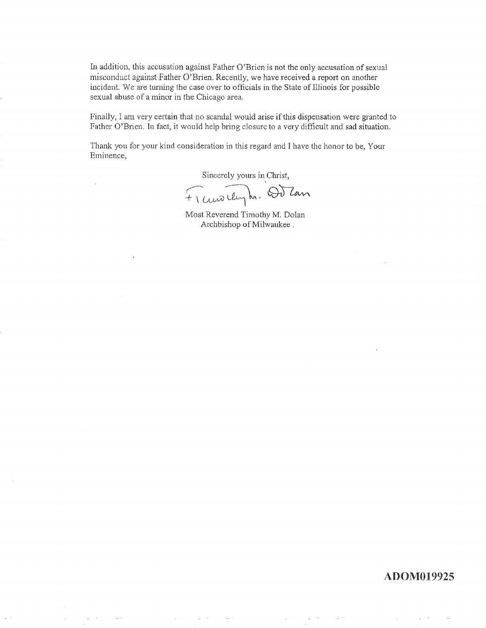In addition, this accusation against Father O'Brien is not the only accusation of sexual misconduct against Father O'Brien. Recently, we have received a report on another incident. We are turning the case over to officials in the State of Illinois for possible sexual abuse of a minor in the Chicago area.

Finally, I am very certain that no scandal would arise if this dispensation were granted to Father O'Brien. In fact, it would help bring closure to a very difficult and sad situation.

Thank you for your kind consideration in this regard and I have the honor to be, Your Eminence,

Sincerely yours in Christ,

Fransıleyh, Outan

Most Reverend Timothy M. Dolan Archbishop of Milwaukee,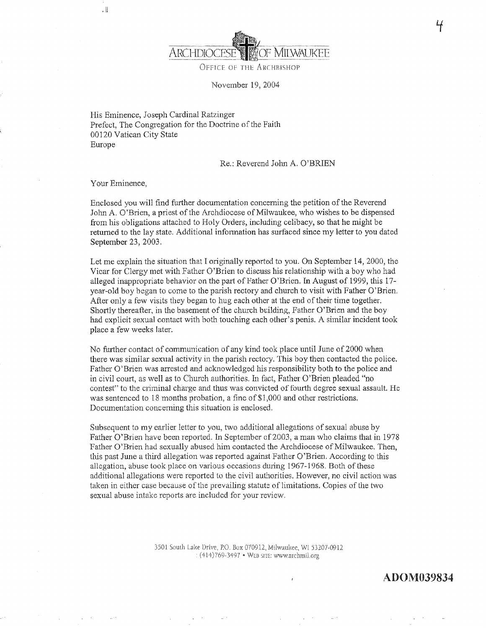

OFFICE OF THE ARCHBISHOP

November 19, 2004

His Eminence, Joseph Cardinal Ratzinger Prefect, The Congregation for the Doctrine of the Faith 00120 Vatican City State Europe

Re.: Reverend John A. O'BRIEN

Your Eminence,

. ||

Enclosed you will find further documentation concerning the petition of the Reverend John A. O'Brien, a priest of the Archdiocese of Milwaukee, who wishes to be dispensed from his obligations attached to Holy Orders, including celibacy, so that he might be returned to the lay state. Additional information has surfaced since my letter to you dated September 23, 2003.

Let me explain the situation that I originally reported to you. On September 14, 2000, the Vicar for Clergy met with Father O'Brien to discuss his relationship with a boy who had alleged inappropriate behavior on the part of Father O'Brien. In August of 1999, this 17year-old boy began to come to the parish rectory and church to visit with Father O'Brien. After only a few visits they began to hug each other at the end of their time together. Shortly thereafter, in the basement of the church building, Father O'Brien and the boy had explicit sexual contact with both touching each other's penis. A similar incident took place a few weeks later.

No further contact of communication of any kind took place until June of 2000 when there was similar sexual activity in the parish rectory. This boy then contacted the police. Father O'Brien was arrested and acknowledged his responsibility both to the police and in civil court, as well as to Church authorities. In fact, Father O'Brien pleaded "no contest" to the criminal charge and thus was convicted of fourth degree sexual assault. He was sentenced to 18 months probation, a fine of \$1,000 and other restrictions. Documentation concerning this situation is enclosed.

Subsequent to my earlier letter to you, two additional allegations of sexual abuse by Father O'Brien have been reported. In September of 2003, a man who claims that in 1978 Father O'Brien had sexually abused him contacted the Archdiocese of Milwaukee. Then, this past June a third allegation was reported against Father O'Brien. According to this allegation, abuse took place on various occasions during 1967-1968. Both of these additional allegations were reported to the civil authorities. However, no civil action was taken in either case because of the prevailing statute of limitations. Copies of the two sexual abuse intake reports are included for your review.

> 3501 South Lake Drive, P.O. Box 070912, Milwaukee, WI 53207-0912 : (414)769-3497 · WEB SITE: www.archmil.org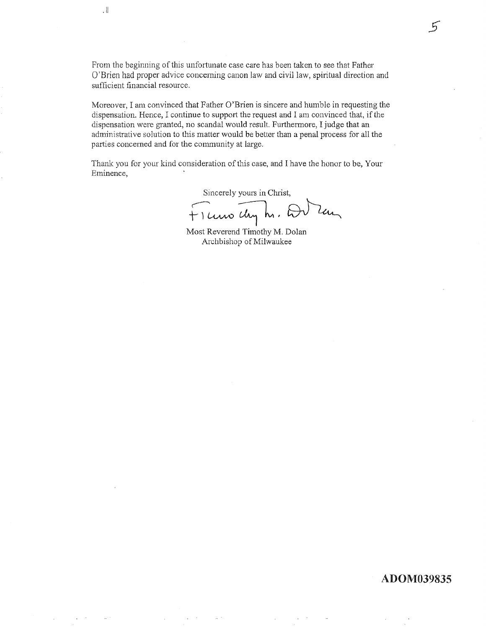From the beginning of this unfortunate case care has been taken to see that Father O'Brien had proper advice concerning canon law and civil law, spiritual direction and sufficient financial resource.

 $\mathbf{H}$ 

Moreover, I am convinced that Father O'Brien is sincere and humble in requesting the dispensation. Hence, I continue to support the request and I am convinced that, if the dispensation were granted, no scandal would result. Furthermore, I judge that an administrative solution to this matter would be better than a penal process for all the parties concerned and for the community at large.

Thank you for your kind consideration of this case, and I have the honor to be, Your Eminence,

Sincerely yours in Christ,

Ficuro chy h. Du Zan

Most Reverend Timothy M. Dolan Archbishop of Milwaukee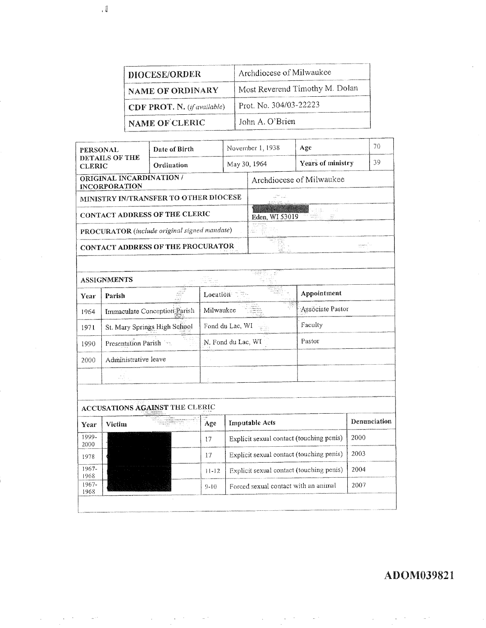| DIOCESE/ORDER               | Archdiocese of Milwaukee       |
|-----------------------------|--------------------------------|
| NAME OF ORDINARY            | Most Reverend Timothy M. Dolan |
| CDF PROT. N. (if available) | Prot. No. 304/03-22223         |
| NAME OF CLERIC              | John A. O'Brien                |

| <b>PERSONAL</b>                              |                                                  | Date of Birth                  |                                                          | November 1, 1938                         |                       | Age               |              | 70 |
|----------------------------------------------|--------------------------------------------------|--------------------------------|----------------------------------------------------------|------------------------------------------|-----------------------|-------------------|--------------|----|
| DETAILS OF THE<br><b>CLERIC</b>              |                                                  | Ordination                     |                                                          | May 30, 1964                             |                       | Years of ministry |              | 39 |
|                                              | ORIGINAL INCARDINATION /<br><b>INCORPORATION</b> |                                | Archdiocese of Milwaukee                                 |                                          |                       |                   |              |    |
| MINISTRY IN/TRANSFER TO OTHER DIOCESE        |                                                  |                                |                                                          |                                          |                       |                   |              |    |
| CONTACT ADDRESS OF THE CLERIC                |                                                  |                                |                                                          | ti st<br>Eden, WI 53019                  |                       |                   |              |    |
| PROCURATOR (include original signed mandate) |                                                  |                                |                                                          |                                          |                       |                   |              |    |
| CONTACT ADDRESS OF THE PROCURATOR            |                                                  |                                |                                                          |                                          |                       |                   |              |    |
|                                              |                                                  |                                |                                                          |                                          |                       |                   |              |    |
|                                              | <b>ASSIGNMENTS</b>                               |                                |                                                          |                                          |                       |                   |              |    |
| Year                                         | Parish                                           |                                | Appointment<br>Location T                                |                                          |                       |                   |              |    |
| 1964                                         |                                                  | Immaculate Conception Parish   | Assóciate Pastor<br>Milwaukee                            |                                          |                       |                   |              |    |
| 1971                                         |                                                  | St. Mary Springs High School   | Faculty<br>Fond du Lac, WI                               |                                          |                       |                   |              |    |
| 1990                                         | Presentation Parish                              |                                | Pastor<br>N. Fond du Lac, WI                             |                                          |                       |                   |              |    |
| 2000                                         | Administrative leave                             |                                |                                                          |                                          |                       |                   |              |    |
|                                              | 44                                               |                                |                                                          |                                          |                       |                   |              |    |
|                                              |                                                  |                                |                                                          |                                          |                       |                   |              |    |
|                                              |                                                  | ACCUSATIONS AGAINST THE CLERIC |                                                          |                                          |                       |                   |              |    |
| Year                                         | Victim                                           |                                | Age                                                      |                                          | <b>Imputable Acts</b> |                   | Denunciation |    |
| 1999-<br>2000                                |                                                  |                                | 17                                                       | Explicit sexual contact (touching penis) |                       | 2000              |              |    |
| 1978                                         |                                                  |                                | Explicit sexual contact (touching penis)<br>17           |                                          |                       |                   | 2003         |    |
| 1967-<br>1968                                |                                                  |                                | Explicit sexual contact (touching penis)<br>$11 - 12$    |                                          |                       |                   | 2004         |    |
| $1967 -$<br>1968                             |                                                  |                                | 2007<br>Forced sexual contact with an animal<br>$9 - 10$ |                                          |                       |                   |              |    |
|                                              |                                                  |                                |                                                          |                                          |                       |                   |              |    |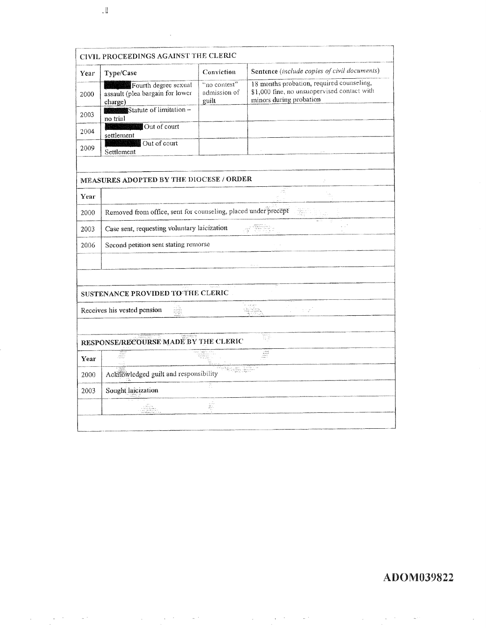|      | CIVIL PROCEEDINGS AGAINST THE CLERIC                               |                                       |                                                                                                                                                                                                                                      |  |  |  |  |
|------|--------------------------------------------------------------------|---------------------------------------|--------------------------------------------------------------------------------------------------------------------------------------------------------------------------------------------------------------------------------------|--|--|--|--|
| Year | Type/Case                                                          | Conviction                            | Sentence (include copies of civil documents)                                                                                                                                                                                         |  |  |  |  |
| 2000 | Fourth degree sexual<br>assault (plea bargain for lower<br>charge) | "no contest"<br>admission of<br>guilt | 18 months probation, required counseling,<br>\$1,000 fine, no unsuopervised contact with<br>minors during probation                                                                                                                  |  |  |  |  |
| 2003 | Statute of limitation-<br>no trial                                 |                                       |                                                                                                                                                                                                                                      |  |  |  |  |
| 2004 | Out of court<br>settlement                                         |                                       |                                                                                                                                                                                                                                      |  |  |  |  |
| 2009 | Out of court<br>Settlement                                         |                                       |                                                                                                                                                                                                                                      |  |  |  |  |
|      |                                                                    |                                       |                                                                                                                                                                                                                                      |  |  |  |  |
|      | MEASURES ADOPTED BY THE DIOCESE / ORDER                            |                                       |                                                                                                                                                                                                                                      |  |  |  |  |
| Year |                                                                    |                                       |                                                                                                                                                                                                                                      |  |  |  |  |
| 2000 | Removed from office, sent for counseling, placed under precept     |                                       |                                                                                                                                                                                                                                      |  |  |  |  |
| 2003 | Case sent, requesting voluntary laicization                        |                                       |                                                                                                                                                                                                                                      |  |  |  |  |
| 2006 | Second petition sent stating remorse                               |                                       |                                                                                                                                                                                                                                      |  |  |  |  |
|      |                                                                    |                                       |                                                                                                                                                                                                                                      |  |  |  |  |
|      |                                                                    |                                       |                                                                                                                                                                                                                                      |  |  |  |  |
|      | SUSTENANCE PROVIDED TO THE CLERIC                                  |                                       |                                                                                                                                                                                                                                      |  |  |  |  |
|      | Receives his vested pension                                        |                                       | $\gamma \geq \gamma_0$                                                                                                                                                                                                               |  |  |  |  |
|      |                                                                    |                                       |                                                                                                                                                                                                                                      |  |  |  |  |
|      | RESPONSE/RECOURSE MADE BY THE CLERIC                               |                                       |                                                                                                                                                                                                                                      |  |  |  |  |
| Year |                                                                    |                                       | $\begin{array}{l} \mbox{c-3} \bar{a} \equiv 0 \\ \mbox{d} \bar{a} \equiv \bar{a} \bar{a} \\ \mbox{e-3} \bar{a} \equiv \bar{a} \bar{a} \\ \mbox{e-3} \bar{a} \equiv \bar{a} \bar{a} \\ \mbox{e-3} \equiv \bar{a} \bar{a} \end{array}$ |  |  |  |  |
| 2000 | la kalu samu dan karatan<br>Acknowledged guilt and responsibility  |                                       |                                                                                                                                                                                                                                      |  |  |  |  |
| 2003 | Sought laicization                                                 | È.                                    |                                                                                                                                                                                                                                      |  |  |  |  |
|      |                                                                    |                                       |                                                                                                                                                                                                                                      |  |  |  |  |

 $\downarrow$ ll

 $\bar{z}$  $\sim$   $\mathcal{A}^{\mathcal{A}}$ 

 $\chi \rightarrow \chi$ 

 $\omega$  .

 $\hat{\mathcal{A}}$ 

 $\sim$ 

 $\ddot{\phantom{a}}$ 

ADOM039822

 $\hat{\mathcal{L}}$ 

 $\overline{a}$ 

 $\ddot{\phantom{a}}$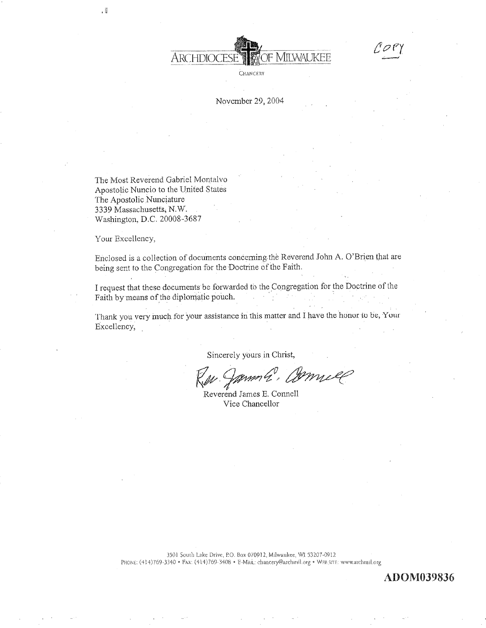

CHANCERY

#### November 29, 2004

The Most Reverend Gabriel Montalvo Apostolic Nuncio to the United States The Apostolic Nunciature 3339 Massachusetts, N.W. Washington, D.C. 20008-3687

Your Excellency,

Enclosed is a collection of documents concerning the Reverend John A. O'Brien that are being sent to the Congregation for the Doctrine of the Faith.

I request that these documents be forwarded to the Congregation for the Doctrine of the Faith by means of the diplomatic pouch.

Thank you very much for your assistance in this matter and I have the honor to be, Your Excellency,

Sincerely yours in Christ,

mma, amnill

Reverend James E. Connell Vice Chancellor

3501 South Lake Drive, P.O. Box 070912, Milwaukee, WI 53207-0912 PHONE: (414)769-3340 · Fax: (414)769-3408 · E-Man: chancery@archmil.org · WEB SITE: www.archmil.org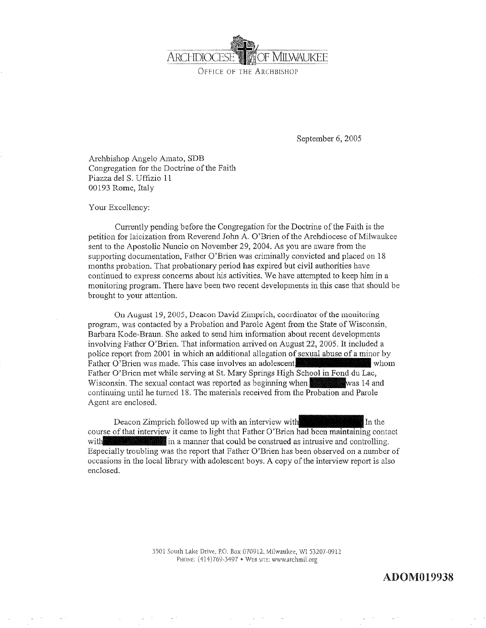

OFFICE OF THE ARCHBISHOP

September 6, 2005

Archbishop Angelo Amato, SDB Congregation for the Doctrine of the Faith Piazza del S. Uffizio 11 00193 Rome, Italy

Your Excellency:

Currently pending before the Congregation for the Doctrine of the Faith is the petition for laicization from Reverend John A, O'Brien of the Archdiocese of Milwaukee sent to the Apostolic Nuncio on November 29, 2004. As you are aware from the supporting documentation, Father O'Brien was criminally convicted and placed on 18 months probation. That probationary period has expired but civil authorities have continued to express concerns about his activities. We have attempted to keep him in a monitoring program. There have been two recent developments in this case that should be brought to your attention.

On August 19, 2005, Deacon David Zimprich, coordinator of the monitoring program, was contacted by a Probation and Parole Agent from the State of Wisconsin, Barbara Kode-Braun. She asked to send him information about recent developments involving Father O'Brien. That information arrived on August 22, 2005. It included a police report from 2001 in which an additional allegation of sexual abuse of a minor by Father O'Brien was made. This case involves an adolescent, who whom Father O'Brien met while serving at St. Mary Springs High School in Fond du Lac, Wisconsin. The sexual contact was reported as beginning when Kwas 14 and continuing until he turned 18. The materials received from the Probation and Parole Agent are enclosed.

Deacon Zimprich followed up wíth an interview course of that interview it came to light that Father O'Brien had been maintaining contact In the  $\frac{1}{2}$  in a manner that could be construed as intrusive and controlling. Especially troubling was the report that Father O'Brien has been observed on a number of occasions in the local library with adolescent boys. A copy of the interview report is also enclosed.

> 3501 South Lake Drive, P.O. Box 070912, Milwaukee, WI 53207-0912 PHONE: (414) 769-3497 · WEB SITE: www.archmil.org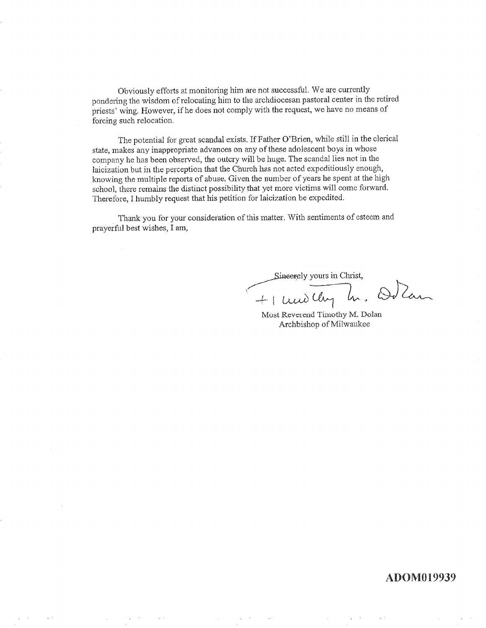Obviously efforts at monitoring him are not successful. We are currently pondering the wisdom of relocating him to the archdiocesan pastoral center in the retired priests' wing. However, if he does not comply with the request, we have no means of forcing such relocation.

The potential for great scandal exists. If Father O'Brien, while still in the clerical state, makes any inappropriate advances on any of these adolescent boys in whose company he has been observed, the outcry will be huge. The scandal lies not in the laicization but in the perception that the Church has not acted expeditiously enough, knowing the multiple reports of abuse. Given the number of years he spent at the high school, there remains the distinct possibility that yet more victims will come forward. Therefore, I humbly request that his petition for laicization be expedited.

Thank you for your consideration of this matter. With sentiments of esteem and prayerful best wishes, I am,

Sineerely yours in Christ,

+ undlay h. Odlan

Most Reverend Timothy M. Dolan Archbishop of Milwaukee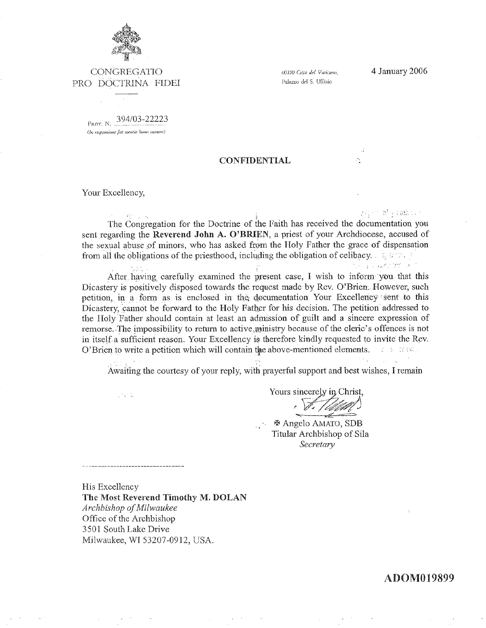

CONGREGATIO PRO DOCTRINA FIDEI

00120 Città del Vaticano. Palazzo del S. Uffizio

h.

PROT. N. 394/03-22223 (In responsione fiat mentio hums numeri)

#### **CONFIDENTIAL**

Your Excellency,

 $\mathcal{O}_{\mathcal{A}}(\mathcal{A})$ 

 $\mathcal{U}^{(1)}\mathcal{U}^{(2)}$  ,  $\mathcal{U}^{(2)}\in\mathcal{U}^{(2)}$  ,  $\mathcal{U}^{(1)}$ The Congregation for the Doctrine of the Faith has received the documentation you sent regarding the Reverend John A. O'BRIEN, a priest of your Archdiocese, accused of the sexual abuse of minors, who has asked from the Holy Father the grace of dispensation from all the obligations of the priesthood, including the obligation of celibacy.  $\therefore$  and  $\therefore$  $\label{eq:1} \gamma_1 \leftarrow \gamma_1 \cup \gamma_2 \mathcal{F}_1 \cap \mathcal{R}^{\text{op}}_1 \cup \mathcal{F}_1$ 

After having carefully examined the present case, I wish to inform you that this Dicastery is positively disposed towards the request made by Rev. O'Brien. However, such petition, in a form as is enclosed in the documentation Your Excellency sent to this Dicastery, cannot be forward to the Holy Father for his decision. The petition addressed to the Holy Father should contain at least an admission of guilt and a sincere expression of remorse. The impossibility to return to active ministry because of the cleric's offences is not in itself a sufficient reason. Your Excellency is therefore kindly requested to invite the Rev. O'Brien to write a petition which will contain the above-mentioned elements. The states

Awaiting the courtesy of your reply, with prayerful support and best wishes, I remain

Yours sincerely in Christ.

 $%$  **Angelo AMATO, SDB** Titular Archbishop of Sila Secretary

His Excellency The Most Reverend Timothy M. DOLAN Archbishop of Milwaukee Office of the Archbishop 3501 South Lake Drive Milwaukee, WI 53207-0912, USA.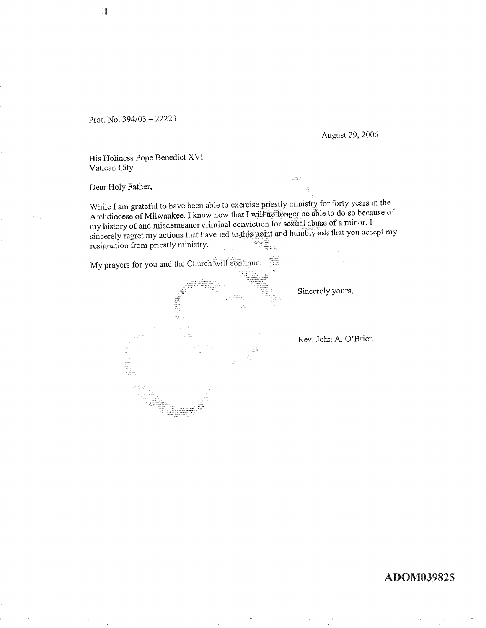Prot. No. 394/03 - 22223

 $\left| \right|$ 

August 29, 2006

His Holiness Pope Benedict XVI Vatican City

Dear Holy Father,

While I am grateful to have been able to exercise priestly ministry for forty years in the Archdiocese of Milwaukee, I know now that I will no longer be able to do so because of my history of and misdemeanor criminal conviction for sexual abuse of a minor. I sincerely regret my actions that have led to this point and humbly ask that you accept my resignation from priestly ministry.

My prayers for you and the Church will continue.

 $\frac{1}{2}$ 

Sincerely yours,

Rev. John A. O'Brien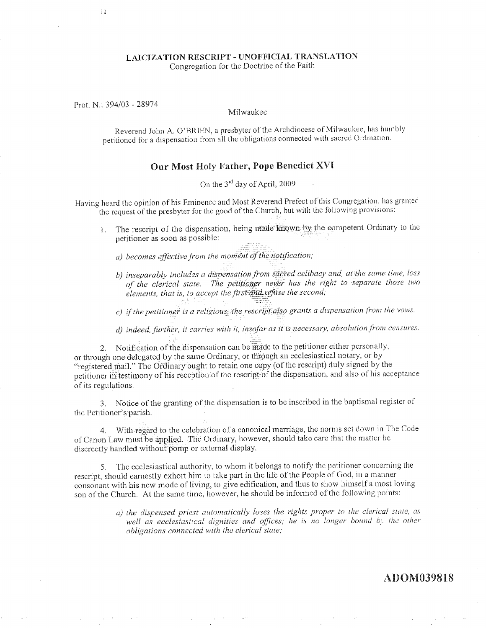#### LAICIZATION RESCRIPT - UNOFFICIAL TRANSLATION Congregation for the Doctrine of the Faith

Prot. N.: 394/03 - 28974

ΪĴ

#### Milwaukee

Reverend John A. O'BRIEN, a presbyter of the Archdiocese of Milwaukee, has humbly petitioned for a dispensation from all the obligations connected with sacred Ordination.

#### Our Most Holy Father, Pope Benedict XVI

On the 3<sup>rd</sup> day of April, 2009

Having heard the opinion of his Eminence and Most Reverend Prefect of this Congregation, has granted the request of the presbyter for the good of the Church, but with the following provisions:

The rescript of the dispensation, being made known by the competent Ordinary to the  $1<sup>1</sup>$ petitioner as soon as possible:

a) becomes effective from the moment of the notification;

b) inseparably includes a dispensation from sacred celibacy and, at the same time, loss of the clerical state. The petitioner never has the right to separate those two elements, that is, to accept the first and refuse the second,

c) if the petitioner is a religious, the rescript also grants a dispensation from the vows.

d) indeed, further, it carries with it, insofar as it is necessary, absolution from censures.

Notification of the dispensation can be made to the petitioner either personally, 2. or through one delegated by the same Ordinary, or through an ecclesiastical notary, or by "registered mail." The Ordinary ought to retain one copy (of the rescript) duly signed by the petitioner in testimony of his reception of the rescript of the dispensation, and also of his acceptance of its regulations.

3. Notice of the granting of the dispensation is to be inscribed in the baptismal register of the Petitioner's parish.

4. With regard to the celebration of a canonical marriage, the norms set down in The Code of Canon Law must be applied. The Ordinary, however, should take care that the matter be discreetly handled without pomp or external display.

5. The ecclesiastical authority, to whom it belongs to notify the petitioner concerning the rescript, should earnestly exhort him to take part in the life of the People of God, in a manner consonant with his new mode of living, to give edification, and thus to show himself a most loving son of the Church. At the same time, however, he should be informed of the following points:

> a) the dispensed priest automatically loses the rights proper to the clerical state, as well as ecclesiastical dignities and offices; he is no longer bound by the other obligations connected with the clerical state;